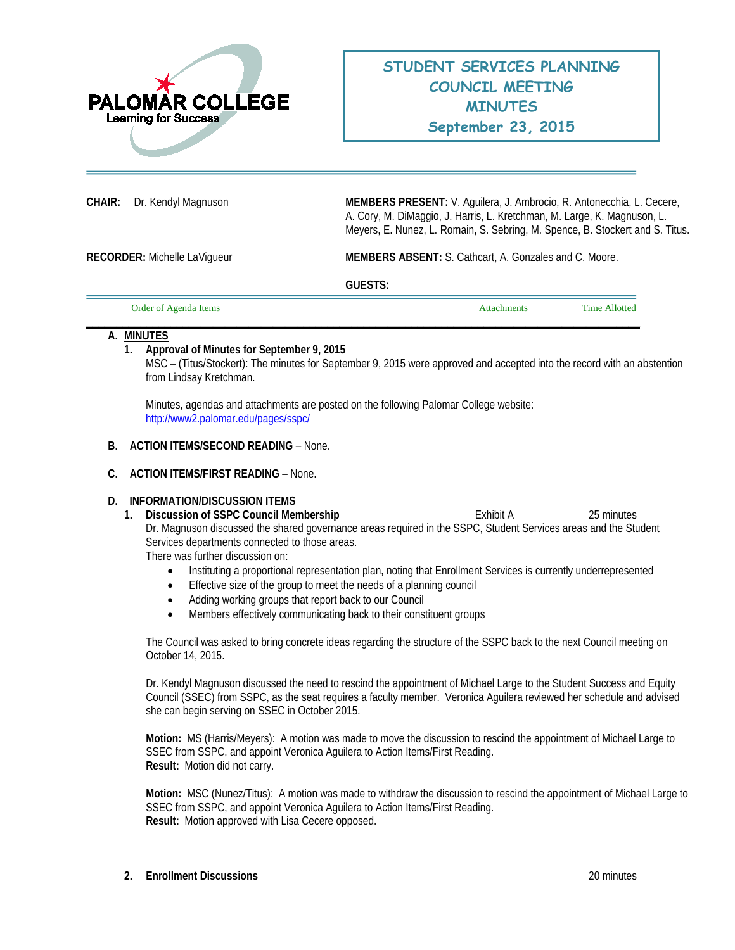

**CHAIR:** Dr. Kendyl Magnuson **MEMBERS PRESENT:** V. Aguilera, J. Ambrocio, R. Antonecchia, L. Cecere, A. Cory, M. DiMaggio, J. Harris, L. Kretchman, M. Large, K. Magnuson, L. Meyers, E. Nunez, L. Romain, S. Sebring, M. Spence, B. Stockert and S. Titus.

**RECORDER:** Michelle LaVigueur **MEMBERS ABSENT:** S. Cathcart, A. Gonzales and C. Moore.

**GUESTS:** 

| Order of Agenda Items | <b>Attachments</b> | <b>Time Allotted</b> |
|-----------------------|--------------------|----------------------|
|                       |                    |                      |

### **A. MINUTES**

# **1. Approval of Minutes for September 9, 2015**

MSC – (Titus/Stockert): The minutes for September 9, 2015 were approved and accepted into the record with an abstention from Lindsay Kretchman.

Minutes, agendas and attachments are posted on the following Palomar College website: <http://www2.palomar.edu/pages/sspc/>

### **B. ACTION ITEMS/SECOND READING** – None.

### **C. ACTION ITEMS/FIRST READING** – None.

### **D. INFORMATION/DISCUSSION ITEMS**

**1. Discussion of SSPC Council Membership Exhibit A** 25 minutes Dr. Magnuson discussed the shared governance areas required in the SSPC, Student Services areas and the Student Services departments connected to those areas.

There was further discussion on:

- Instituting a proportional representation plan, noting that Enrollment Services is currently underrepresented
- Effective size of the group to meet the needs of a planning council
- Adding working groups that report back to our Council
- Members effectively communicating back to their constituent groups

The Council was asked to bring concrete ideas regarding the structure of the SSPC back to the next Council meeting on October 14, 2015.

Dr. Kendyl Magnuson discussed the need to rescind the appointment of Michael Large to the Student Success and Equity Council (SSEC) from SSPC, as the seat requires a faculty member. Veronica Aguilera reviewed her schedule and advised she can begin serving on SSEC in October 2015.

**Motion:** MS (Harris/Meyers): A motion was made to move the discussion to rescind the appointment of Michael Large to SSEC from SSPC, and appoint Veronica Aguilera to Action Items/First Reading. **Result:** Motion did not carry.

**Motion:** MSC (Nunez/Titus): A motion was made to withdraw the discussion to rescind the appointment of Michael Large to SSEC from SSPC, and appoint Veronica Aguilera to Action Items/First Reading. **Result:** Motion approved with Lisa Cecere opposed.

**2. Enrollment Discussions** 20 minutes